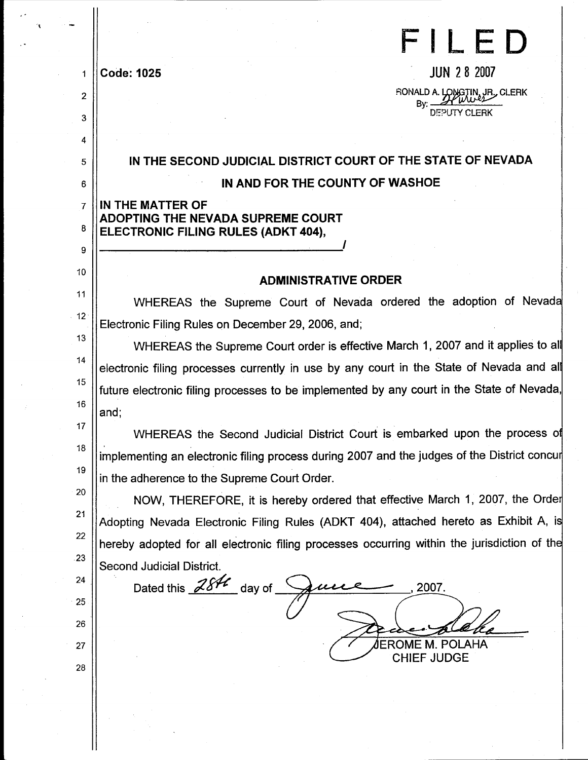|                | FILED                                                                                       |
|----------------|---------------------------------------------------------------------------------------------|
| 1              | <b>JUN 28 2007</b><br><b>Code: 1025</b>                                                     |
| $\overline{2}$ | RONALD A. LONGTIN, JR., CLERK                                                               |
| 3              | Bv:<br>DEPUTY CLERK                                                                         |
| 4              |                                                                                             |
| 5              | IN THE SECOND JUDICIAL DISTRICT COURT OF THE STATE OF NEVADA                                |
| 6              | IN AND FOR THE COUNTY OF WASHOE                                                             |
| $\mathbf{7}$   | IN THE MATTER OF                                                                            |
| 8              | ADOPTING THE NEVADA SUPREME COURT<br>ELECTRONIC FILING RULES (ADKT 404),                    |
| 9              |                                                                                             |
| 10             |                                                                                             |
| 11             | <b>ADMINISTRATIVE ORDER</b>                                                                 |
| $-12$          | WHEREAS the Supreme Court of Nevada ordered the adoption of Nevada                          |
| 13             | Electronic Filing Rules on December 29, 2006, and;                                          |
| 14             | WHEREAS the Supreme Court order is effective March 1, 2007 and it applies to all            |
| 15             | electronic filing processes currently in use by any court in the State of Nevada and all    |
| 16             | future electronic filing processes to be implemented by any court in the State of Nevada,   |
| 17             | and;                                                                                        |
| 18             | WHEREAS the Second Judicial District Court is embarked upon the process of                  |
| 19             | implementing an electronic filing process during 2007 and the judges of the District concur |
| 20             | in the adherence to the Supreme Court Order.                                                |
| 21             | NOW, THEREFORE, it is hereby ordered that effective March 1, 2007, the Order                |
| 22             | Adopting Nevada Electronic Filing Rules (ADKT 404), attached hereto as Exhibit A, is        |
| .23            | hereby adopted for all electronic filing processes occurring within the jurisdiction of the |
| 24             | Second Judicial District.                                                                   |
|                | Dated this $284$ day of<br>2007.                                                            |
| 25             |                                                                                             |
| 26             | JEROME M. POLAHA                                                                            |
| 27             | <b>CHIEF JUDGE</b>                                                                          |
| 28             |                                                                                             |
|                |                                                                                             |
|                |                                                                                             |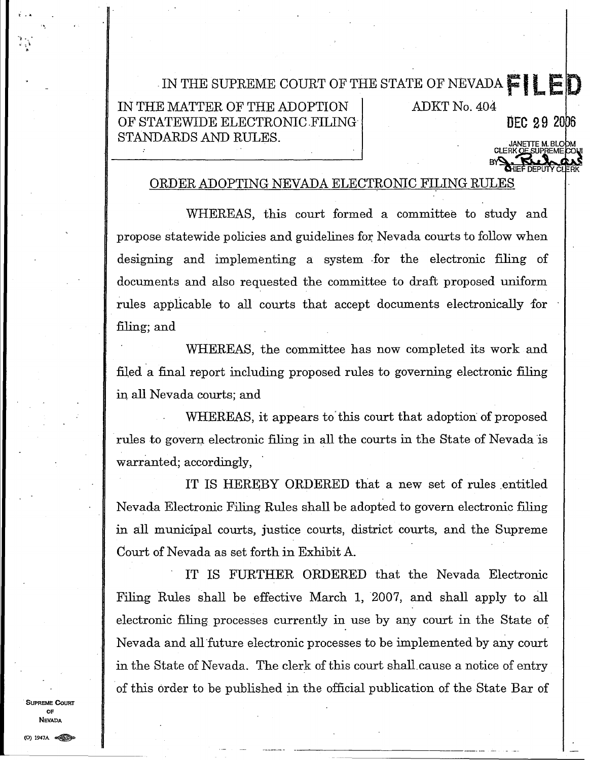# . IN THE SUPREME COURT OF THE STATE OF NEVADA  $\blacksquare$  I LED

IN THE MATTER OF THE ADOPTION ADKT No. 404 OF STATEWIDE ELECTRONIC FILING STANDARDS AND RULES.

DEC 29 2006

## ORDER ADOPTING NEVADA ELECTRONIC FILING RULES

WHEREAS, this court formed a committee to study and propose statewide policies and guidelines for Nevada courts to follow when designing and implementing a system for the electronic filing of documents and also requested the committee to draft proposed uniform rules applicable to all courts that accept documents electronically for filing; and

WHEREAS, the committee has now completed its work and filed a final report including proposed rules to governing electronic filing in all Nevada courts; and

WHEREAS, it appears to'this court that adoption of proposed rules to govern electronic filing in all the courts in the State of Nevada is warranted; accordingly, .

IT IS HEREBY ORDERED that a new set of rules entitled Nevada Electronic Filing Rules shall be adopted to govern electronic filing in all municipal courts, justice courts, district courts, and the Supreme Court of Nevada as set forth in Exhibit A.

. IT IS FURTHER ORDERED that the Nevada Electronic Filing Rules shall be effective March 1,2007, and shall apply to all electronic filing processes currently in use by any court in the State of Nevada and all'future electronic processes to be implemented by any court in the State of Nevada. The clerk of this court shall,cause a notice of entry 'of this order to be published in the official publication of the State Bar of

---- -----------------------

SUPREME CoURT OF NEVADA

 $\frac{1}{k}$  –  $\frac{k}{k}$ 

 $\mathcal{A}^{\pm}$  ,  $\mathcal{A}^{\pm}$ .. ':. <sup>~</sup> .<br>.<br>.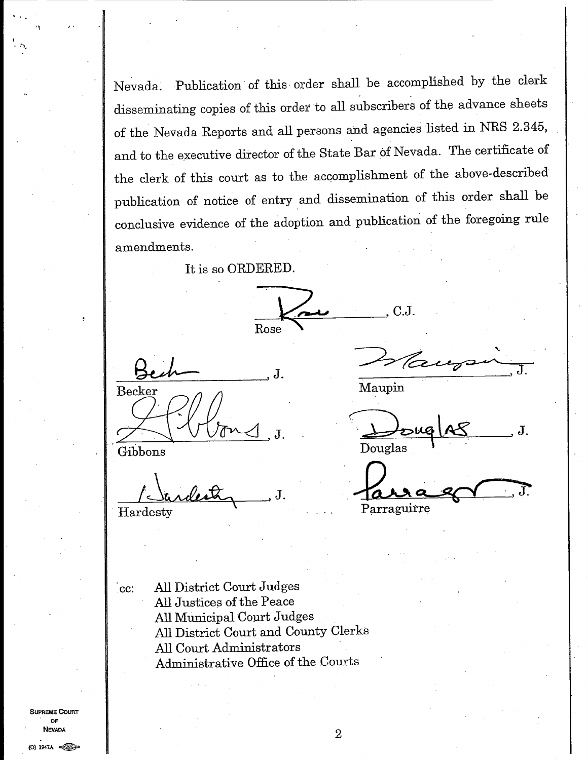Nevada. Publication of this· order shall be accomplished by the clerk disseminating copies of this order to all subscribers of the advance sheets of the Nevada Reports and all persons and agencies listed in NRS 2.345, and to the executive director of the State Bar of Nevada. The certificate of the clerk of this court as to the accomplishment of the above-described publication of notice of entry and dissemination of this order shall be conclusive evidence of the adoption and publication of the foregoing rule amendments.

It is so ORDERED.

 $\sqrt{2\nu}$  . C.J. Rose Buh J. Deursin, J.

<u>relanded to</u> J.<br>Hardesty

 $Z\sqrt{\frac{1}{3}}$ Douglas \ ..  $\mathbf J$  .

 $\int_{\text{data}}$ Parraguirre

cc: All District Court Judges All Justices of the Peace **All** Municipal Court Judges All District Court and County Clerks All Court Administrators Administrative Office of the Courts

SUPREME COURT OF NEVADA

..

'\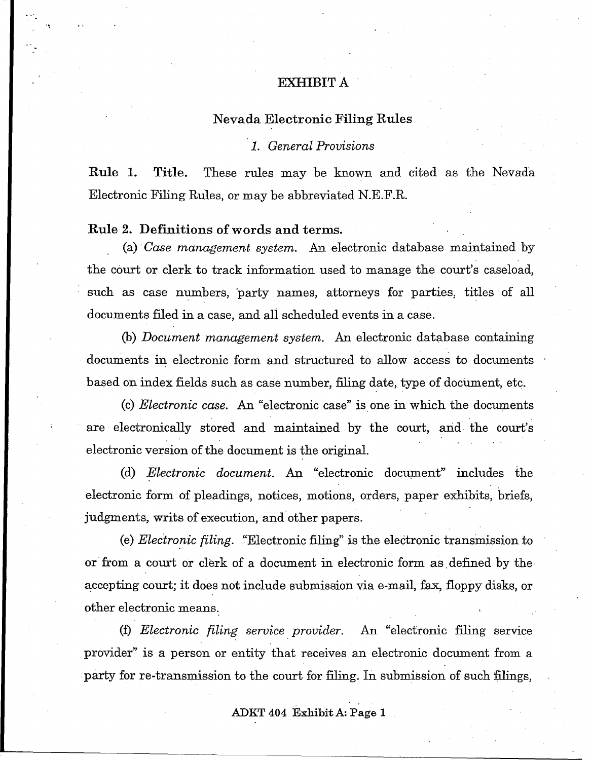# EXHIBIT A

## Nevada Electronic Filing Rules

## *1. General Provisions*

Rule 1. Title. These rules may be known and cited as the Nevada Electronic Filing RUles, or may be abbreviated N.E.F.R.

## Rule 2. Definitions of words and terms.

'I

(a) . *Case management system.* An electronic database maintained by the court or clerk to track information used to manage the court's caseload, such as case numbers, party names, attorneys for parties, titles of all documents filed in a case, and ali scheduled events in a case.

(b) *Document management system.* An electronic database containing documents in electronic form and structured to allow access to documents based on index fields such as case number, filing date, type of document, etc.

(c) *Electronic case.* An "electronic case" isone in which the documents are electronically stored and maintained by the court, and the court's electronic version of the document is the original.

(d) *Electronic document.* An "electronic document" includes the electronic form of pleadings, notices, motions, orders, paper exhibits, briefs, judgments, writs of execution, and other papers.

(e) *Electronic filing.* "Electronic filing" is the electronic transmission to or from a court or clerk of a document in electronic form as defined by the accepting court; it does not include submission via e-mail, fax, floppy disks, or other electronic means.

(f) *Electronic filing service provider*. An "electronic filing service provider" is a person or entity that receives an electronic document from a party for re-transmission to the court for filing. In submission of such filings,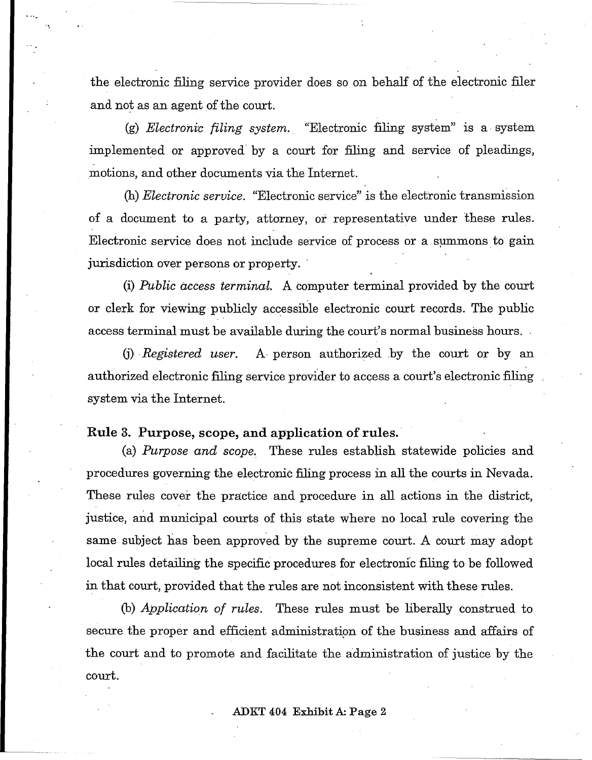the electronic filing service provider does so on behalf of the electronic filer and not as an agent of the court.

(g) *Electronic filing system.* "Electronic filing system" is a system implemented or approved by a court for filing and service of pleadings, ,motions, and other documents via the Internet.

(h) *Electronic service.* "Electronic service" is the electronic transmission of a document to a party, attorney, or representative under these rules. Electronic service does not include service of process or a summons to gain jurisdiction over persons or property. '

(i) *Public access terminal.* A computer terminal provided by the court or clerk for viewing publicly accessible electronic court records. The public access terminal must be available during the court's normal business hours. .

(j) . *Registered user.* A, person authorized .by the court or by an authorized electronic filing service provider to access a court's electronic filing system via the Internet.

## **Rule** 3. Purpose, scope, and application of rules. '

(a) *Purpose and scope.* These rules establish statewide policies and procedures governing the electronic filing process in all the courts in Nevada. These rules cover the practice and procedure in all actions in the district, justice, and municipal courts of this state where no local rule covering the same subject has been approved by the supreme court. A court may adopt local rules detailing the specific procedures for electronic filing to be followed in that court, provided that the rules are not inconsistent with these rules.

(b) *Application of rules.* These rules must be liberally construed to secure the proper and efficient administration of the business and affairs of the court and to promote and facilitate the administration of justice by the court.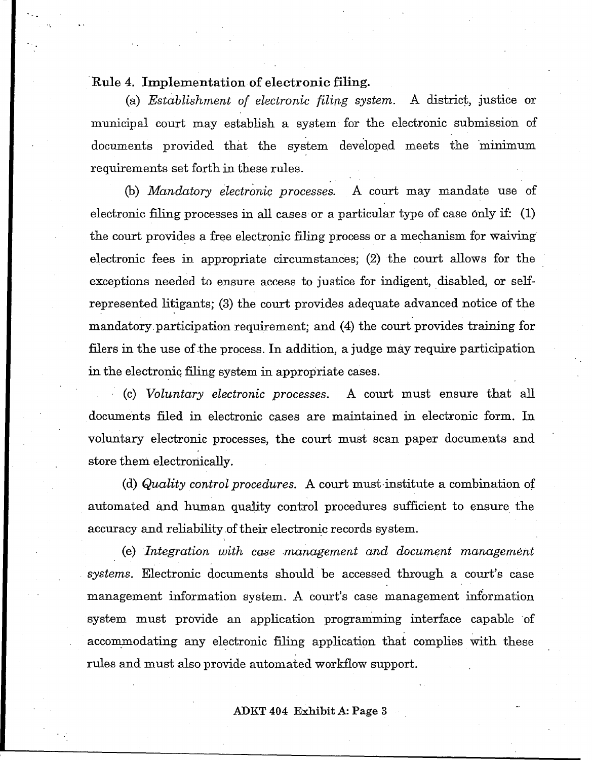# Rule 4. Implementation of electronic filing.

(a) *Establishment of electronic filing system.* A district, justice or municipal court may establish a system for the electronic submission of documents provided that the system developed meets the minimum requirements set forth in these rules.

(b) *Mandatory electronic processes.* A court may mandate use of electronic filing processes in all cases or a particular type of case only if: (1) the court provides a free electronic filing process or a mechanism for waiving electronic fees in appropriate circumstances; (2) the court allows for the exceptions needed to ensure access to justice for indigent, disabled, or selfrepresented litigants; (3) the court provides adequate advanced notice of the mandatory.participation requirement; and (4) the court provides training for filers in the use of the process. In addition, a judge may require participation in the electronic filing system in appropriate cases.

. (c) *Voluntary electronic processes.* A court must ensure that all documents filed in electronic cases are maintained in electronic form. In voluntary electronic processes, the court must scan paper documents and store them electronically.

(d) *Quality control procedures.* A court must·institute a combination of automated and human quality control procedures sufficient to ensure the accuracy and reliability of their electronic records system.

(e) *Integration with case management and document management . systems.* Electronic documents should be accessed through a court's case management information system. A court's case management information system must provide an application programming interface capable of accommodating any electronic filing application that complies with these rules and must also provide automated workflow support.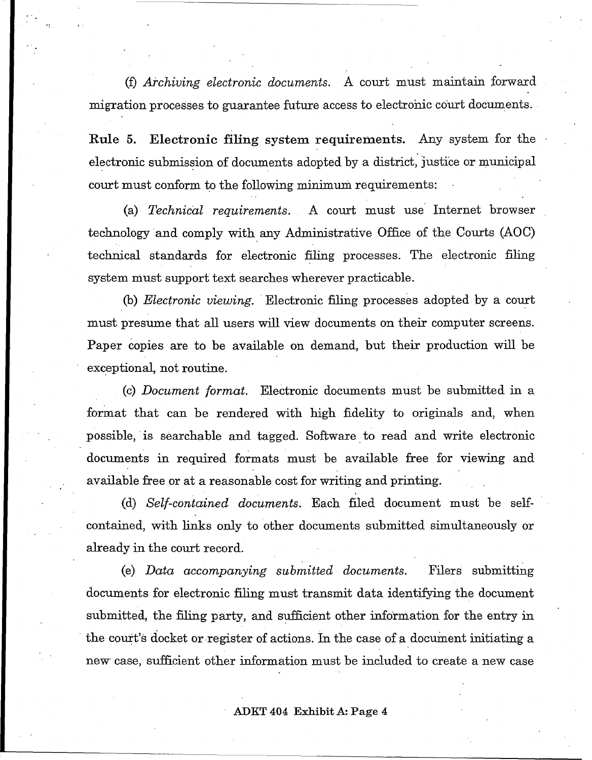(f) *Archiving electronic documents.* A court must maintain forward migration processes to guarantee future access to electronic court documents.

Rule 5. Electronic filing system requirements. Any system for the electronic submission of documents adopted by a district, justice or municipal court must conform to the following minimum requirements:

(a) *Technical requirements.* A court must use' Internet browser technology and comply with any Administrative Office of the Courts (AOC) technical standards for electronic filing processes. The electronic filing system must support text searches wherever practicable.

(b) *Electronic viewing.* . Electronic filing processes adopted by a court must presume that all users will view documents on their computer screens. Paper copies are to be available on demand, but their production will be exceptional, not routine.

(c) *Document format.* Electronic documents must be submitted in a format that can be rendered with high fidelity to originals and, when possible, is searchable and tagged. Software to read and write electronic documents in required formats must be available free for viewing and available free or at a reasonable cost for writing and printing.

(d) *Self-contained documents.* Each filed document must be selfcontained, with links only to other documents submitted simultaneously or already in the court record.

(e) *Data accompanying submitted documents.* Filers submitting documents for electronic filing must transmit data identifying the document submitted, the filing party, and sufficient other information for the entry in the court's docket or register of actions. In the case of a document initiating a new' case, sufficient other information must be included to create a new case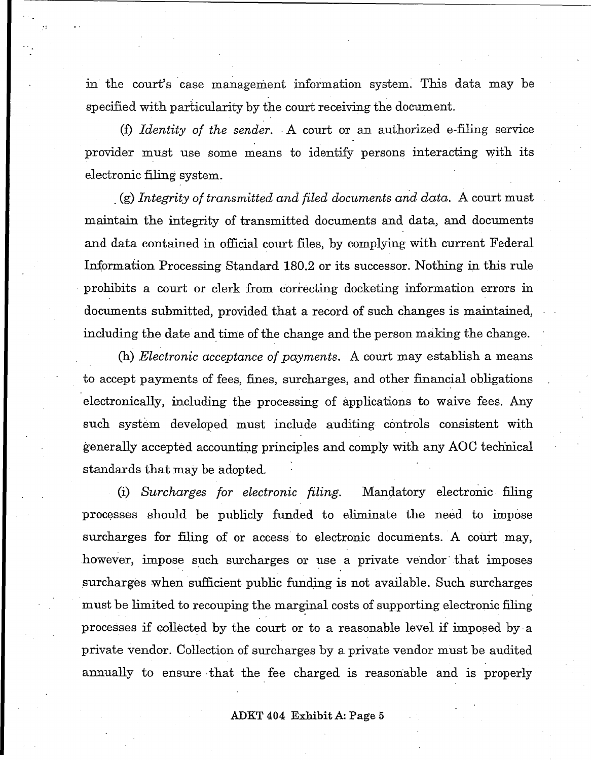in the court's case management information system. This data may be specified with particularity by the court receiving the document.

(f) *Identity of the sender.* A court or an authorized e-filing service provider must use some means to identify persons interacting with its electronic filing system.

. (g) *Integrity of transmitted and filed documents and data.* A court must maintain the integrity of transmitted documents and data, and documents and data contained in official court files, by complying with current Federal Information Processing Standard 180.2 or its successor. Nothing in this rule prohibits a court or clerk from correcting docketing information errors in documents submitted, provided that a record of such changes is maintained, including the date and time of the change and the person making the change.

(h) *Electronic acceptance of payments.* A court may establish a means to accept payments of fees, fines, surcharges, and other financial obligations electronically, including the processing of applications to waive fees. Any such system developed must include auditing controls consistent with generally accepted accounting principles and comply with any AOC technical standards that may be adopted.

(i) *Surcharges for electronic filing*. Mandatory electronic filing processes should be publicly funded to eliminate the need to impose surcharges for filing of or access to electronic documents. A court may, however; impose such surcharges or use a private vendor' that imposes surcharges when sufficient public funding is not available. Such surcharges must be limited to recouping the marginal costs of supporting electronic filing processes if collected by the court or to a reasonable level if imposed by· a private vendor. Collection of surcharges by a private vendor must be audited annually to ensure that the fee charged is reasonable and is properly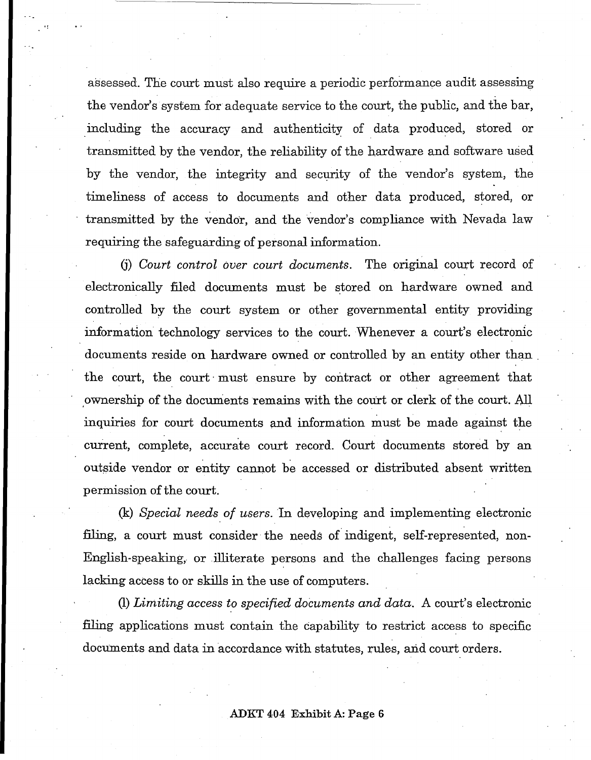assessed. The court must also require a periodic performance audit assessing the vendor's system for adequate service to the court, the public, and the bar, including the accuracy and authenticity of data produced, stored or transmitted by the vendor, the reliability of the hardware and software used by the vendor, the integrity and security of the vendor's system, the timeliness of access to documents and other data produced, stored, or transmitted by the vendor, and the vendor's compliance with Nevada law requiring the safeguarding of personal information.

(i) *Court control over court documents*. The original court record of electronically filed documents must be stored on hardware owned and controlled by the court system or other governmental entity providing information technology services to the court. Whenever a court's electronic documents reside on hardware owned or controlled by an entity other than the court, the court· must ensure by contract or other agreement that ownership of the documents remains with the court or clerk of the court. All inquiries for court documents and information must be made against the current, complete, accurate court record. Court documents stored by an outside vendor or entity cannot be accessed or distributed absent written. permission of the court.

(k) *Special needs of users.* In developing and implementing electronic filing, a court must consider the needs of indigent, self-represented, non-English-speaking, or .illiterate persons and the challenges facing persons lacking access to or skills in the use of computers.

*(1) Limiting access to specified documents and data.* A court's electronic filing applications must contain the capability to restrict access to specific documents and data in accordance with statutes, rules, and court orders.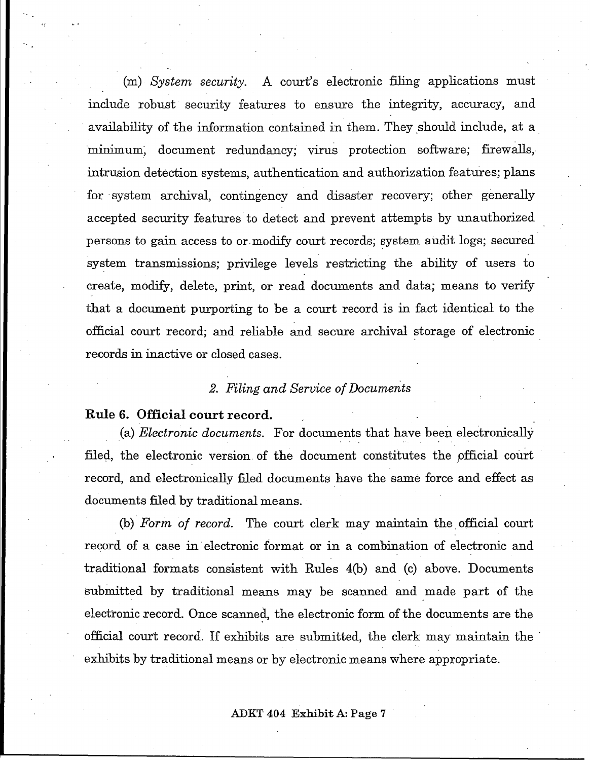(m) *System security.* A court's electronic filing applications must include robust security features to ensure the integrity, accuracy, and availability of the information contained in them. They should include, at a minimum, document redundancy; virus protection software; firewalls, intrusion detection systems, authentication and authorization features; plans for system archival, contingency and disaster recovery; other generally accepted security features to detect and prevent attempts by unauthorized persons to gain access to or modify court records; system audit logs; secured system transmissions; privilege levels restricting the ability of users to create, modify, delete, print, or read documents and data; means to verify that a document purporting to be a court record is in fact identical to the official court record; and reliable and secure archival storage of electronic records in inactive or closed cases.

## *2. Filing and Service of Documents*

# Rule 6. Official court record.

.,

(a) *Electronic documents.* For documents that have been electronically filed, the electronic version of the document constitutes the official court record, and electronically filed documents have the same force and effect as documents filed by traditional means.

(b) Form of record. The court clerk may maintain the official court record of a case in electronic format or in a combination of electronic and traditional formats consistent with Rules 4(b) and (c) above. Documents submitted by traditional means may be scanned and made part of the electronic record. Once scanned., the electronic form of the documents are the official court record. If exhibits are submitted, the clerk may maintain the . exhibits by traditional means or by electronic means where appropriate.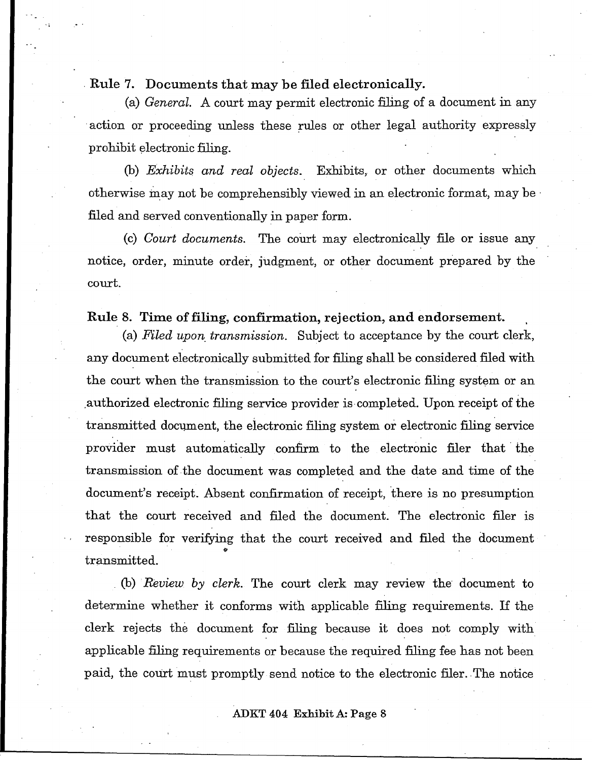, Rule 7. Documents that may be filed electronically.

(a) *General.* A court may permit electronic filing of a document in any . action or proceeding unless these rules or other legal authority expressly prohibit electronic filing.

(b) *Exhibits and real objects.* Exhibits, or other documents which otherwise may not be comprehensibly viewed in an electronic format, may be filed and served conventionally in paper form.

(c) *Court documents*. The court may electronically file or issue any notice, order, minute order, judgment, or other document prepared by the court.

## Rule 8. Time of filing, confirmation, rejection, and endorsement.

(a) *Filed upon, transmission.* Subject to acceptance by the court clerk, any document electronically submitted for filing shall be considered filed with the court when the transmission to the court's electronic filing system or an ,authorized electronic filing service provider is completed. Upon receipt of the transmitted document, the electronic filing system or electronic filing service provider must automatically confirm to the electronic filer that' the transmission of the document was completed and the date and time of the document's receipt. Absent confirmation of receipt, 'there is no presumption that the court received and filed the document. The electronic filer is responsible for verifying that the court received and filed the document transmitted .

(b) *Review by clerk*. The court clerk may review the document to determine whether it conforms with applicable filing requirements. If the clerk rejects the document for filing because it does not comply with applicable filing requirements or because the required filing fee has not been paid, the court must promptly send notice to the electronic filer. The notice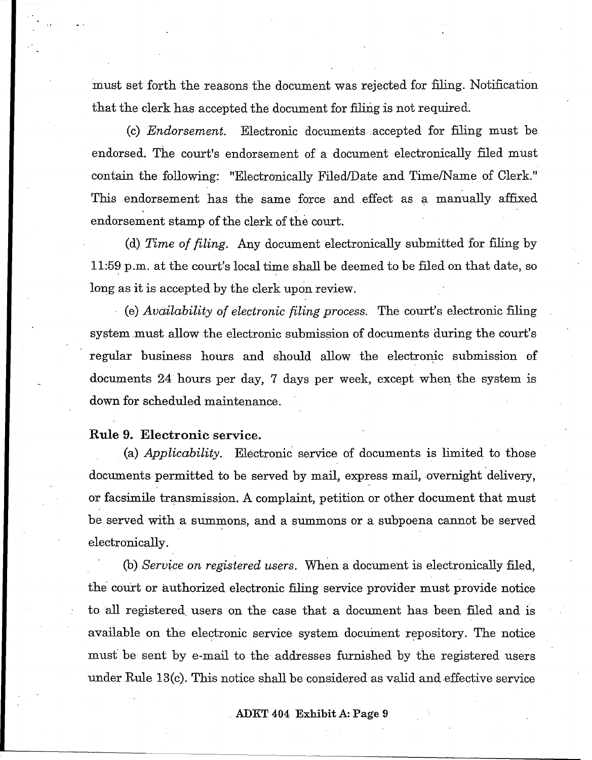must set forth the reasons the document was rejected for filing. Notification that the clerk has accepted the document for filing is not required.

(c) *Endorsement*. Electronic documents accepted for filing must be endorsed. The court's endorsement of a document electronically filed must contain the following: "Electronically Filed/Date and Time/Name of Clerk." This endorsement has the same force and effect as a manually affixed endorsement stamp of the clerk of the court.

(d) *Time of filing.* Any document electronically submitted for filing by 11:59 p.m. at the court's local time shall be deemed to be filed on that date, so long as it is accepted by the clerk upon review.

. (e) *Availability of electronic filing process.* The court's electronic filing system must allow the electronic submission of documents during the court's regular business hours and should allow the electronic submission of documents 24 hours per day, 7 days per week, except when the system is down for scheduled maintenance.

# Rule 9. Electronic service.

.,

(a) *Applicability.* Electronic service of documents is limited to those documents permitted to be served by mail, express mail, overnight delivery, or facsimile transmission. A complaint, petition or other document that must be served with a summons, and a summons or a subpoena cannot be served electronically.

(b) *Service on registered users.* When a document is electronically filed, the' court or authorized electronic filing service provider must provide notice to all registered users on the case that a document has been filed and is available on the electronic service system document repository. The notice must be sent by e-mail to the addresses furnished by the registered users under Rule 13(c). This notice shall be considered as valid and effective service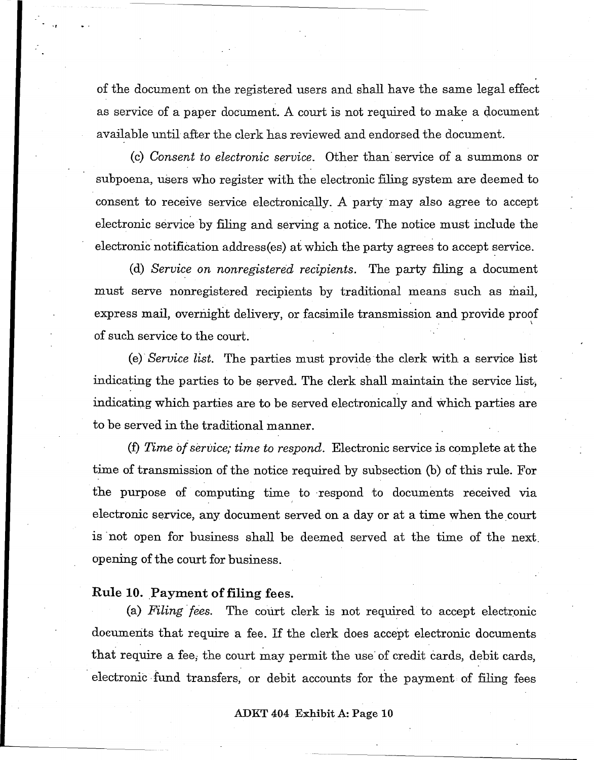of the document on the registered users and shall have the same legal effect as service of a paper document. A court is not required to make a document available until after the clerk has reviewed and endorsed the document.

(c) *Consent to electronic service.* Other than'service of a summons or subpoena, users who register with the electronic filing system are deemed to consent to receive service electronically. A party may also agree to accept electronic service by filing and serving a notice. The notice must include the electronic notification address(es) at which the party agrees to accept service.

(d) *Service on nonregistered recipients.* The party filing a document must serve nonregistered recipients by traditional means such as mail, express mail, overnight delivery, or facsimile transmission and provide proof of such service to the court.

(e)' *Service list.* The parties must provide the clerk with a service list indicating the parties to be served. The clerk shall maintain the service list, indicating which parties are to be served electronically and which parties are to be served in the traditional manner.

(f) *Time* 01 *service; time to respond.* Electronic service is complete at the time of transmission of the notice required by subsection (b) of this rule. For the purpose of computing time to 'respond to documents received via electronic service, any document served on a day or at a time when the court is "not open for business shall be deemed served at the time of the next, opening of the court for business.

#### Rule 10. Payment of filing fees.

.,

(a) *Filing fees.* The court clerk is not required to accept electronic documents that require a fee. If the clerk does accept electronic documents that require a fee, the court may permit the use of credit cards, debit cards, electronic fund transfers, or debit accounts for the payment of filing fees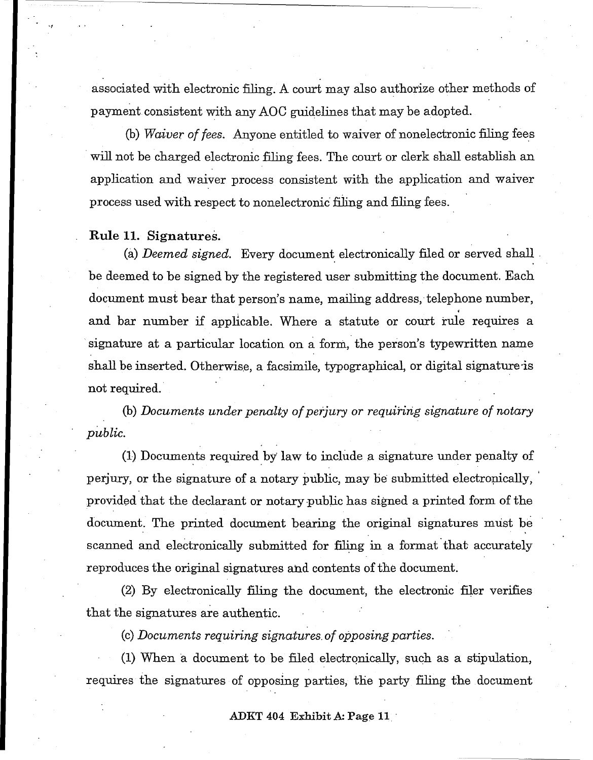associated with electronic filing. A court may also authorize other methods of payment consistent with any AOC guidelines that may be adopted.

(b) *Waiver of fees.* Anyone entitled to waiver of nonelectronic filing fees will not be charged electronic filing fees. The court or clerk shall establish an application and waiver process consistent with the application and waiver process used with respect to nonelectronic filing and filing fees.

## **Rule 11.** Signatures.

'1

(a) *Deemed signed.* Every document electronically filed or served shall ' be deemed to be signed by the registered user submitting the document. Each document must bear that person's name, mailing address, telephone number, and bar number if applicable. Where a statute or court rule requires a signature at a particular location on a form, the person's typewritten name shall be inserted. Otherwise, a facsimile, typographical, or digital signature is not required.

(b) *Documents under penalty of perjury or requiririg signature of notary public.* 

(1) Documents required by' law to include a signature under penalty of perjury, or the signature of a notary public, may be submitted electropically, ' provided that the declarant or notary public has signed a printed form of the document. The printed document bearing the original signatures must be scanned and electronically submitted for filing in a format that accurately reproduces the original signatures ahd contents of the document.

(2) By electronically filing the document, the electronic filer verifies that the signatures are authentic.

(c) *Documents requiring signatures, of opposing parties.* 

(1) When a document to be filed electronically, such as a stipulation, requires the signatures of opposing parties, the party filing the document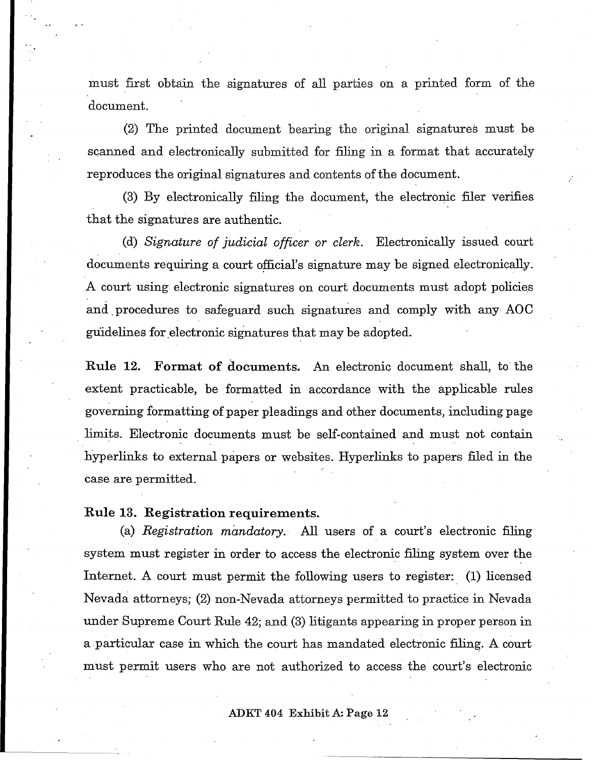must first obtain the signatures of all parties on a printed form of the document.

(2) The printed document bearing the original signatures must be scanned and electronically submitted for filing in a format that accurately reproduces the original signatures and contents of the document.

(3) By electronically filing the document, the electronic filer verifies that the signatures are authentic.

(d) *Signature of judicial officer or clerk.* Electronically issued court documents requiring a court official's signature may be signed electronically. A court using electronic signatures on court documents must adopt policies and, procedures to safeguard such signatures and comply with any AOC guidelines for electronic signatures that may be adopted.

Rule 12. Format of documents. An electronic document shall, to the extent practicable, be formatted in accordance with the applicable rules governing formatting of paper pleadings and other documents, including page limits. Electronic documents must be self-contained and must not contain hyperlinks to external papers or websites. Hyperlinks to papers filed in the case are permitted.

Rule 13. Registration requirements.

(a) *Registration mandatory.'* All users of a court's electronic filing system must register in order to access the electronic filing system over the Internet. A court must permit the following users to register: (1) licensed Nevada attorneys; (2) non-Nevada attorneys permitted to practice in Nevada under Supreme Court Rule 42; and (3) litigants appearing in proper person in a particular case in which the court has mandated electronic filing. A court must permit users who are not authorized to access the court's electronic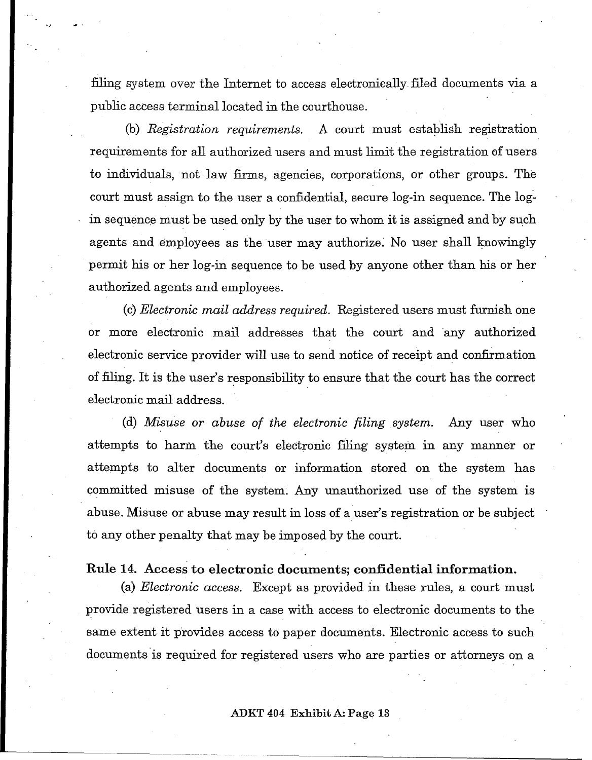filing system over the Internet to access electronically\_ filed documents via a public access terminal located in the courthouse.

(b) *Registration requirements.* A court must estaplish registration requirements for all authorized users and must limit the registration of users to individuals, not law firms, agencies, corporations, or other groups. The court must assign to the user a confidential, secure log-in sequence. The login sequence must be used only by the user to whom it is assigned and by such agents and employees as the user may authorize. No user shall knowingly permit his or her log-in sequence to be used by anyone other than his or her authorized agents and employees.

(c) *Electronic mail address required.* Registered users must furnish one or more electronic mail addresses that the court and any authorized electronic service provider will use to send notice of receipt and confirmation of filing. It is the user's responsibility to ensure that the court has the correct electronic mail address.

(d) *Misuse or abuse of the electronic filing system.* Any user who attempts to harm the court's electronic filing system in any manner or attempts to alter documents or information stored on the system has committed misuse of the system. Any unauthorized use of the system is abuse. Misuse or abuse may result in loss of a user's registration or be subject to any other penalty that may be imposed by the court.

## Rule 14. Access to electronic documents; confidential information.

(a) *Electronic access.* Except as provided in these rules, a court must provide registered users in a case with access to electronic documents to the same extent it provides access to paper documents. Electronic access to such documents is required for registered users who are parties or attorneys on a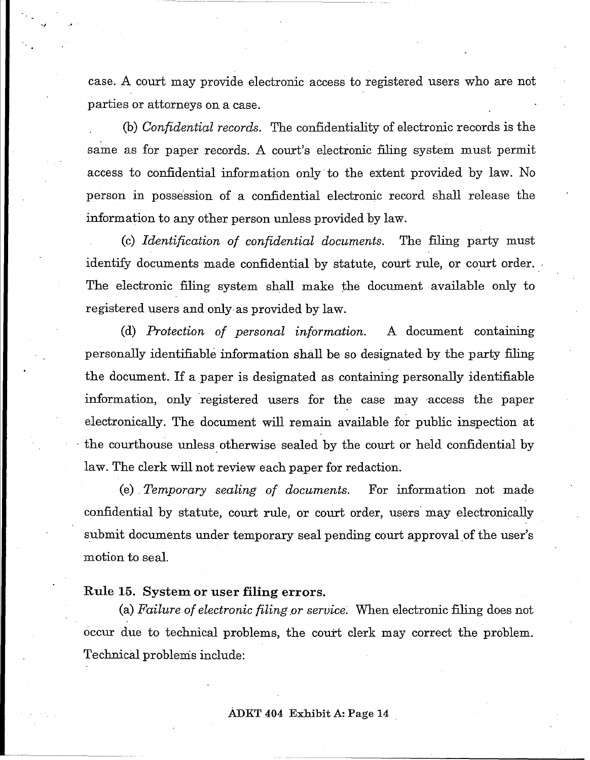case. A court may provide electronic access to registered users who are not parties or attorneys on a case.

(b) *Confidential records.* The confidentiality of electronic records is the same as for paper records. A court's electronic filing system must permit access to confidential information only· to the extent provided by law. No person in possession of a confidential electronic record shall release the information to any other person unless provided by law.

(c) *Identification of confidential documents.* The filing party must identify documents made confidential by statute, court rule, or court order. The electronic filing system shall make the document available only to registered users and only· as provided by law.

(d) *Protection of personal information.* A document containing personally identifiable information shall be so designated by the party filing the document. If a paper is designated as containing personally identifiable information, only registered users for the case may access the paper electronically, The document will remain available for public inspection at the courthouse unless otherwise sealed by the court or held confidential by law. The clerk will not review each paper for redaction.

(e) . *Temporq,ry sealing of documents.* For information not made confidential by statute, court rule, or court order, users· may electronically submit documents under temporary seal pending court approval of the user's motion to seal.

## Rule 15. System or user filing errors.

(a) *Failure of electronic filing or service*. When electronic filing does not occur due to technical problems, the court clerk may correct the problem. Technical problems include: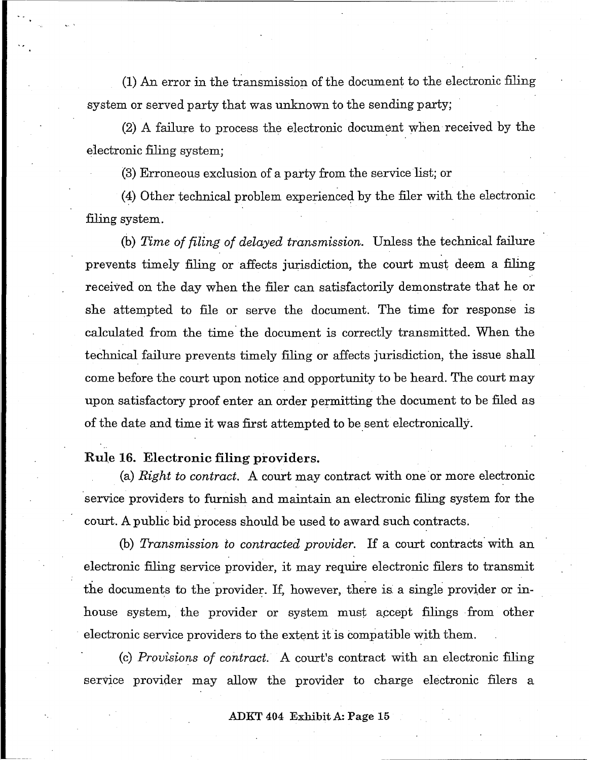(1) An error in the transmission of the document to the electronic filing system or served party that was unknown to the sending party;

 $(2)$  A failure to process the electronic document when received by the electronic filing system;

(3) Erroneous exclusion of a party from the service list; or

 $(4)$  Other technical problem experienced by the filer with the electronic filing system.

(b) *Time of filing of delayed transmission.* Unless the technical failure prevents timely filing or affects jurisdiction, the court must deem a filing received on the day when the filer can satisfactorily demonstrate that he or she attempted to file or serve the document. The time for response is calculated from the time the document is correctly transmitted. When the technical failure prevents timely filing or affects jurisdiction, the issue shall come before the court upon notice and opportunity to be heard. The court may upon satisfactory proof enter an order permitting the document to be filed as of the date and time it was first attempted to be sent electronically.

# Rule 16. Electronic filing providers.

(a)  $Right$  to contract. A court may contract with one or more electronic service providers to furnish and maintain an electronic filing system for the court. A public bid process should be used to award such contracts.

(b) *Transmission to contracted provider.* If a court contracts' with an electronic filing service provider, it may require electronic filers to transmit the documents to the provider. If, however, there is a single provider or inhouse system, the provider or system must accept filings from other electronic service providers to the extent it is compatible with them.

(c) *Provisions of contract.* A court's contract with an electronic filing service provider may allow the provider to charge electronic filers a